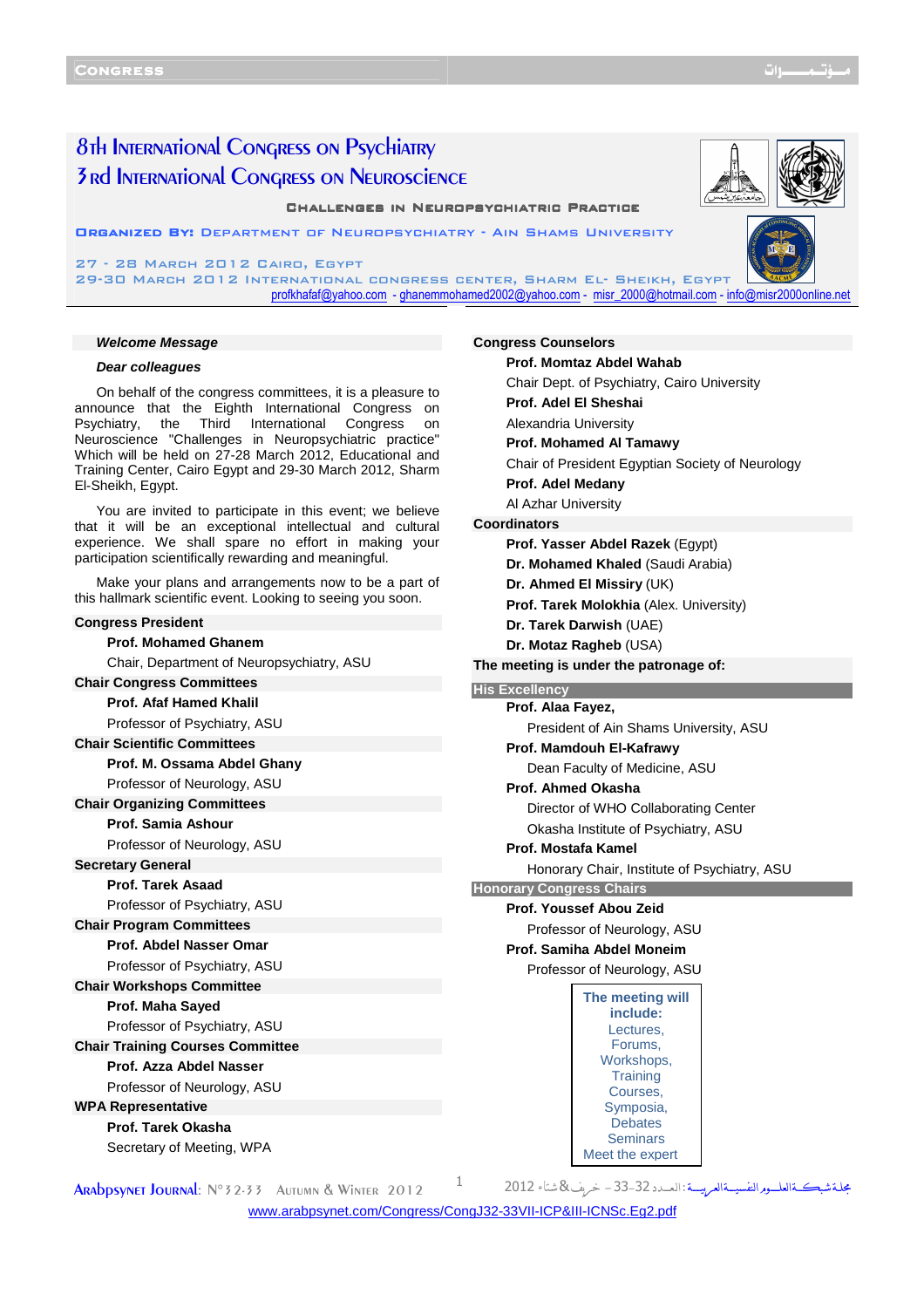# 8th International Congress on Psychiatry 3rd International Congress on Neuroscience

**CHALLENGES IN NEUROPSYCHIATRIC PRACTICE** 

Organized By: Department of Neuropsychiatry - Ain Shams University

27 - 28 March 2012 Cairo, Egypt 29-30 MARCH 2012 INTERNATIONAL CONGRESS O profkhafaf@yahoo.com - ghanemmohamed2002@yahoo.com - misr\_2000@hotmail.com - info@misr2000online.net

#### **Welcome Message**

## **Dear colleagues**

On behalf of the congress committees, it is a pleasure to announce that the Eighth International Congress on Psychiatry, the Third International Congress on Neuroscience "Challenges in Neuropsychiatric practice" Which will be held on 27-28 March 2012, Educational and Training Center, Cairo Egypt and 29-30 March 2012, Sharm El-Sheikh, Egypt.

You are invited to participate in this event; we believe that it will be an exceptional intellectual and cultural experience. We shall spare no effort in making your participation scientifically rewarding and meaningful.

Make your plans and arrangements now to be a part of this hallmark scientific event. Looking to seeing you soon.

## **Congress President**

## **Prof. Mohamed Ghanem**

Chair, Department of Neuropsychiatry, ASU

### **Chair Congress Committees**

**Prof. Afaf Hamed Khalil** 

Professor of Psychiatry, ASU

## **Chair Scientific Committees**

**Prof. M. Ossama Abdel Ghany** 

Professor of Neurology, ASU

## **Chair Organizing Committees**

**Prof. Samia Ashour** 

Professor of Neurology, ASU

**Secretary General** 

**Prof. Tarek Asaad**  Professor of Psychiatry, ASU

## **Chair Program Committees Prof. Abdel Nasser Omar**

Professor of Psychiatry, ASU

**Chair Workshops Committee** 

## **Prof. Maha Sayed**

Professor of Psychiatry, ASU

**Chair Training Courses Committee** 

## **Prof. Azza Abdel Nasser**

Professor of Neurology, ASU

**WPA Representative** 

# **Prof. Tarek Okasha**

Secretary of Meeting, WPA

| SENTER, SHARM EL- SHEIKH, EGYPT         | ramed2002@yahoo.com - misr_2000@hotmail.com - info@misr2000online.no |  |  |  |  |  |
|-----------------------------------------|----------------------------------------------------------------------|--|--|--|--|--|
|                                         |                                                                      |  |  |  |  |  |
| <b>Congress Counselors</b>              |                                                                      |  |  |  |  |  |
|                                         | Prof. Momtaz Abdel Wahab                                             |  |  |  |  |  |
|                                         | Chair Dept. of Psychiatry, Cairo University                          |  |  |  |  |  |
|                                         | Prof. Adel El Sheshai                                                |  |  |  |  |  |
|                                         | Alexandria University                                                |  |  |  |  |  |
|                                         | <b>Prof. Mohamed AI Tamawy</b>                                       |  |  |  |  |  |
|                                         | Chair of President Egyptian Society of Neurology                     |  |  |  |  |  |
|                                         | Prof. Adel Medany                                                    |  |  |  |  |  |
|                                         | Al Azhar University                                                  |  |  |  |  |  |
| <b>Coordinators</b>                     |                                                                      |  |  |  |  |  |
| Prof. Yasser Abdel Razek (Egypt)        |                                                                      |  |  |  |  |  |
| Dr. Mohamed Khaled (Saudi Arabia)       |                                                                      |  |  |  |  |  |
| Dr. Ahmed El Missiry (UK)               |                                                                      |  |  |  |  |  |
| Prof. Tarek Molokhia (Alex. University) |                                                                      |  |  |  |  |  |
| Dr. Tarek Darwish (UAE)                 |                                                                      |  |  |  |  |  |
| Dr. Motaz Ragheb (USA)                  |                                                                      |  |  |  |  |  |
|                                         | The meeting is under the patronage of:                               |  |  |  |  |  |
|                                         |                                                                      |  |  |  |  |  |
| <b>His Excellency</b>                   |                                                                      |  |  |  |  |  |
| Prof. Alaa Fayez,                       |                                                                      |  |  |  |  |  |
|                                         | President of Ain Shams University, ASU                               |  |  |  |  |  |
|                                         | Prof. Mamdouh El-Kafrawy                                             |  |  |  |  |  |
|                                         | Dean Faculty of Medicine, ASU                                        |  |  |  |  |  |
|                                         | Prof. Ahmed Okasha                                                   |  |  |  |  |  |
|                                         | Director of WHO Collaborating Center                                 |  |  |  |  |  |
|                                         | Okasha Institute of Psychiatry, ASU                                  |  |  |  |  |  |
|                                         | Prof. Mostafa Kamel                                                  |  |  |  |  |  |
|                                         | Honorary Chair, Institute of Psychiatry, ASU                         |  |  |  |  |  |
| <b>Honorary Congress Chairs</b>         |                                                                      |  |  |  |  |  |
|                                         | <b>Prof. Youssef Abou Zeid</b>                                       |  |  |  |  |  |
|                                         | Professor of Neurology, ASU                                          |  |  |  |  |  |
|                                         | Prof. Samiha Abdel Moneim                                            |  |  |  |  |  |
|                                         | Professor of Neurology, ASU                                          |  |  |  |  |  |
|                                         | The meeting will                                                     |  |  |  |  |  |
|                                         | include:                                                             |  |  |  |  |  |
|                                         | Lectures,<br>Forums,                                                 |  |  |  |  |  |
|                                         | Workshops,<br><b>Training</b>                                        |  |  |  |  |  |

Courses, Symposia, **Debates Seminars** 

Meet the expert

ARADDSYNET JOURNAL: N°32-33 AUTUMN & WINTER 2012

مجلة شبكةالعلــوم النفسيــةالعربيـــة : ال

<www.arabpsynet.com/Congress/CongJ32-33VII-ICP&III-ICNSc.Eg2.pdf>